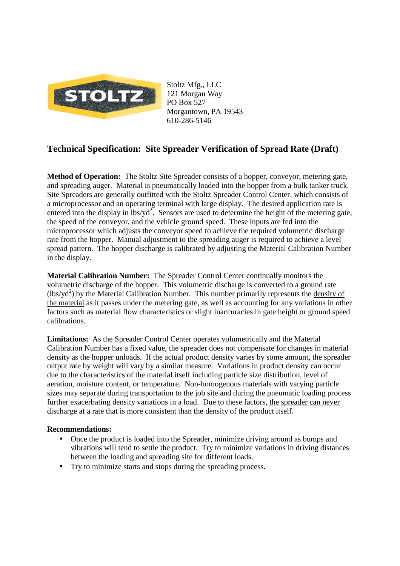

Stoltz Mfg., LLC 121 Morgan Way PO Box 527 Morgantown, PA 19543 610-286-5146

## **Technical Specification: Site Spreader Verification of Spread Rate (Draft)**

**Method of Operation:** The Stoltz Site Spreader consists of a hopper, conveyor, metering gate, and spreading auger. Material is pneumatically loaded into the hopper from a bulk tanker truck. Site Spreaders are generally outfitted with the Stoltz Spreader Control Center, which consists of a microprocessor and an operating terminal with large display. The desired application rate is entered into the display in  $\frac{1}{s}$  Sensors are used to determine the height of the metering gate, the speed of the conveyor, and the vehicle ground speed. These inputs are fed into the microprocessor which adjusts the conveyor speed to achieve the required volumetric discharge rate from the hopper. Manual adjustment to the spreading auger is required to achieve a level spread pattern. The hopper discharge is calibrated by adjusting the Material Calibration Number in the display.

**Material Calibration Number:** The Spreader Control Center continually monitors the volumetric discharge of the hopper. This volumetric discharge is converted to a ground rate  $(lbs/yd<sup>2</sup>)$  by the Material Calibration Number. This number primarily represents the density of the material as it passes under the metering gate, as well as accounting for any variations in other factors such as material flow characteristics or slight inaccuracies in gate height or ground speed calibrations.

**Limitations:** As the Spreader Control Center operates volumetrically and the Material Calibration Number has a fixed value, the spreader does not compensate for changes in material density as the hopper unloads. If the actual product density varies by some amount, the spreader output rate by weight will vary by a similar measure. Variations in product density can occur due to the characteristics of the material itself including particle size distribution, level of aeration, moisture content, or temperature. Non-homogenous materials with varying particle sizes may separate during transportation to the job site and during the pneumatic loading process further exacerbating density variations in a load. Due to these factors, the spreader can never discharge at a rate that is more consistent than the density of the product itself.

## **Recommendations:**

- Once the product is loaded into the Spreader, minimize driving around as bumps and vibrations will tend to settle the product. Try to minimize variations in driving distances between the loading and spreading site for different loads.
- Try to minimize starts and stops during the spreading process.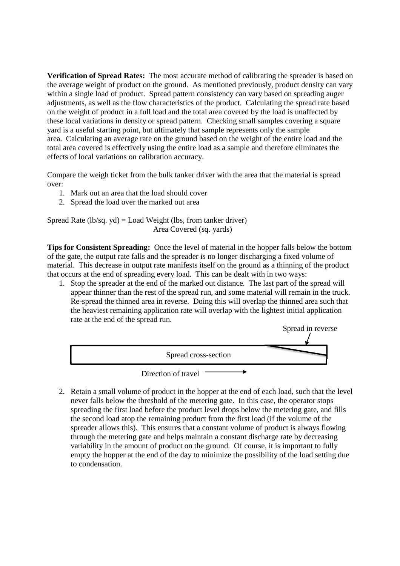**Verification of Spread Rates:** The most accurate method of calibrating the spreader is based on the average weight of product on the ground. As mentioned previously, product density can vary within a single load of product. Spread pattern consistency can vary based on spreading auger adjustments, as well as the flow characteristics of the product. Calculating the spread rate based on the weight of product in a full load and the total area covered by the load is unaffected by these local variations in density or spread pattern. Checking small samples covering a square yard is a useful starting point, but ultimately that sample represents only the sample area. Calculating an average rate on the ground based on the weight of the entire load and the total area covered is effectively using the entire load as a sample and therefore eliminates the effects of local variations on calibration accuracy.

Compare the weigh ticket from the bulk tanker driver with the area that the material is spread over:

- 1. Mark out an area that the load should cover
- 2. Spread the load over the marked out area

Spread Rate (lb/sq. yd) = Load Weight (lbs, from tanker driver) Area Covered (sq. yards)

**Tips for Consistent Spreading:** Once the level of material in the hopper falls below the bottom of the gate, the output rate falls and the spreader is no longer discharging a fixed volume of material. This decrease in output rate manifests itself on the ground as a thinning of the product that occurs at the end of spreading every load. This can be dealt with in two ways:

1. Stop the spreader at the end of the marked out distance. The last part of the spread will appear thinner than the rest of the spread run, and some material will remain in the truck. Re-spread the thinned area in reverse. Doing this will overlap the thinned area such that the heaviest remaining application rate will overlap with the lightest initial application rate at the end of the spread run.



2. Retain a small volume of product in the hopper at the end of each load, such that the level never falls below the threshold of the metering gate. In this case, the operator stops spreading the first load before the product level drops below the metering gate, and fills the second load atop the remaining product from the first load (if the volume of the spreader allows this). This ensures that a constant volume of product is always flowing through the metering gate and helps maintain a constant discharge rate by decreasing variability in the amount of product on the ground. Of course, it is important to fully empty the hopper at the end of the day to minimize the possibility of the load setting due to condensation.